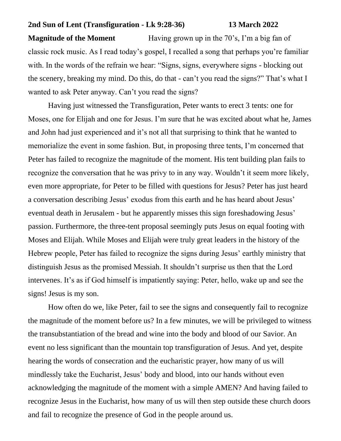## **2nd Sun of Lent (Transfiguration - Lk 9:28-36) 13 March 2022**

**Magnitude of the Moment** Having grown up in the 70's, I'm a big fan of classic rock music. As I read today's gospel, I recalled a song that perhaps you're familiar with. In the words of the refrain we hear: "Signs, signs, everywhere signs - blocking out the scenery, breaking my mind. Do this, do that - can't you read the signs?" That's what I wanted to ask Peter anyway. Can't you read the signs?

Having just witnessed the Transfiguration, Peter wants to erect 3 tents: one for Moses, one for Elijah and one for Jesus. I'm sure that he was excited about what he, James and John had just experienced and it's not all that surprising to think that he wanted to memorialize the event in some fashion. But, in proposing three tents, I'm concerned that Peter has failed to recognize the magnitude of the moment. His tent building plan fails to recognize the conversation that he was privy to in any way. Wouldn't it seem more likely, even more appropriate, for Peter to be filled with questions for Jesus? Peter has just heard a conversation describing Jesus' exodus from this earth and he has heard about Jesus' eventual death in Jerusalem - but he apparently misses this sign foreshadowing Jesus' passion. Furthermore, the three-tent proposal seemingly puts Jesus on equal footing with Moses and Elijah. While Moses and Elijah were truly great leaders in the history of the Hebrew people, Peter has failed to recognize the signs during Jesus' earthly ministry that distinguish Jesus as the promised Messiah. It shouldn't surprise us then that the Lord intervenes. It's as if God himself is impatiently saying: Peter, hello, wake up and see the signs! Jesus is my son.

How often do we, like Peter, fail to see the signs and consequently fail to recognize the magnitude of the moment before us? In a few minutes, we will be privileged to witness the transubstantiation of the bread and wine into the body and blood of our Savior. An event no less significant than the mountain top transfiguration of Jesus. And yet, despite hearing the words of consecration and the eucharistic prayer, how many of us will mindlessly take the Eucharist, Jesus' body and blood, into our hands without even acknowledging the magnitude of the moment with a simple AMEN? And having failed to recognize Jesus in the Eucharist, how many of us will then step outside these church doors and fail to recognize the presence of God in the people around us.